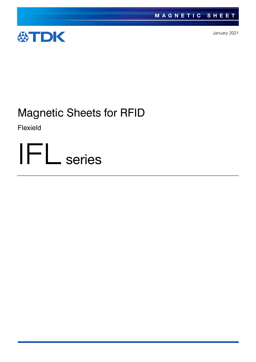

January 2021

# Magnetic Sheets for RFID

Flexield

IFL series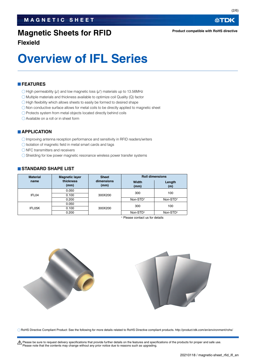## **Magnetic Sheets for RFID**

**Flexield**

# **Overview of IFL Series**

#### **FEATURES**

- $\bigcirc$  High permeability (u') and low magnetic loss (u'') materials up to 13.56MHz
- $\bigcirc$  Multiple materials and thickness available to optimize coil Quality (Q) factor
- $\bigcirc$  High flexibility which allows sheets to easily be formed to desired shape
- $\bigcirc$  Non conductive surface allows for metal coils to be directly applied to magnetic sheet
- O Protects system from metal objects located directly behind coils
- Available on a roll or in sheet form

#### **APPLICATION**

- Improving antenna reception performance and sensitivity in RFID readers/writers
- $\bigcirc$  Isolation of magnetic field in metal smart cards and tags
- $\bigcirc$  NFC transmitters and receivers
- O Shielding for low power magnetic resonance wireless power transfer systems

#### **STANDARD SHAPE LIST**

| <b>Material</b> | <b>Magnetic layer</b> | <b>Sheet</b>       | <b>Roll dimensions</b> |               |  |
|-----------------|-----------------------|--------------------|------------------------|---------------|--|
| name            | thickness<br>(mm)     | dimensions<br>(mm) | Width<br>(mm)          | Length<br>(m) |  |
| IFL04           | 0.050                 |                    | 300                    | 100           |  |
|                 | 0.100                 | 300X200            |                        |               |  |
|                 | 0.200                 |                    | Non-STD*               | Non-STD*      |  |
| IFL05K          | 0.050                 |                    | 300                    | 100           |  |
|                 | 0.100                 | 300X200            |                        |               |  |
|                 | 0.200                 |                    | Non-STD*               | Non-STD*      |  |

Please contact us for details



RoHS Directive Compliant Product: See the following for more details related to RoHS Directive compliant products. http://product.tdk.com/en/environment/rohs/

t Please be sure to request delivery specifications that provide further details on the features and specifications of the products for proper and safe use. Please note that the contents may change without any prior notice due to reasons such as upgrading.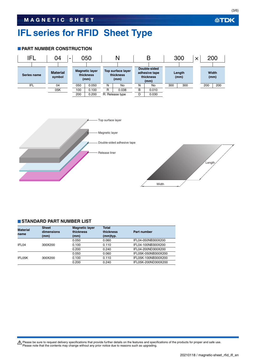## **IFL series for RFID Sheet Type**

#### **PART NUMBER CONSTRUCTION**



#### **STANDARD PART NUMBER LIST**

| <b>Material</b><br>name | <b>Sheet</b><br>dimensions<br>(mm) | <b>Magnetic layer</b><br>thickness<br>(mm) | <b>Total</b><br>thickness<br>(mm)typ. | Part number         |
|-------------------------|------------------------------------|--------------------------------------------|---------------------------------------|---------------------|
|                         |                                    | 0.050                                      | 0.060                                 | IFL04-050NB300X200  |
| IFL04                   | 300X200                            | 0.100                                      | 0.110                                 | IFL04-100NB300X200  |
|                         |                                    | 0.200                                      | 0.240                                 | IFL04-200ND300X200  |
|                         |                                    | 0.050                                      | 0.060                                 | IFL05K-050NB300X200 |
| IFL05K                  | 300X200                            | 0.100                                      | 0.110                                 | IFL05K-100NB300X200 |
|                         |                                    | 0.200                                      | 0.240                                 | IFL05K-200ND300X200 |

Please be sure to request delivery specifications that provide further details on the features and specifications of the products for proper and safe use.<br>Please note that the contents may change without any prior notice d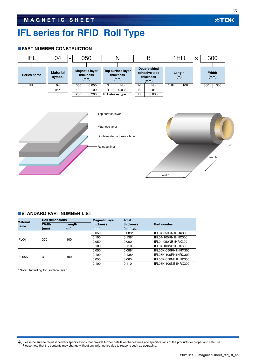### **MAGNETIC SHEET**

## **IFL series for RFID Roll Type**

#### **PART NUMBER CONSTRUCTION**



#### **STANDARD PART NUMBER LIST**

| <b>Material</b><br>name | <b>Roll dimensions</b> |               | <b>Magnetic layer</b> | <b>Total</b>          |                     |
|-------------------------|------------------------|---------------|-----------------------|-----------------------|---------------------|
|                         | Width<br>(mm)          | Length<br>(m) | thickness<br>(mm)     | thickness<br>(mm)typ. | Part number         |
| IFL04                   |                        | 100           | 0.050                 | $0.088*$              | IFL04-050RN1HRX300  |
|                         | 300                    |               | 0.100                 | $0.138*$              | IFL04-100RN1HRX300  |
|                         |                        |               | 0.050                 | 0.060                 | IFL04-050NB1HRX300  |
|                         |                        |               | 0.100                 | 0.110                 | IFL04-100NB1HRX300  |
|                         |                        |               | 0.050                 | $0.088*$              | IFL05K-050RN1HRX300 |
| IFL05K                  | 300                    | 100           | 0.100                 | $0.138*$              | IFL05K-100RN1HRX300 |
|                         |                        |               | 0.050                 | 0.060                 | IFL05K-050NB1HRX300 |
|                         |                        |               | 0.100                 | 0.110                 | IFL05K-100NB1HRX300 |

Note : Including top surface layer

Please be sure to request delivery specifications that provide further details on the features and specifications of the products for proper and safe use.<br>Please note that the contents may change without any prior notice d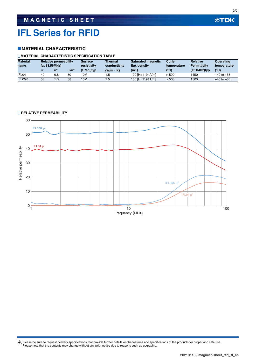## **IFL Series for RFID**

#### **MATERIAL CHARACTERISTIC**

#### **MATERIAL CHARACTERISTIC SPECIFICATION TABLE**

| <b>Material</b><br>name | <b>Relative permeability</b><br><b>Tat 13.56MHz1</b> |     | <b>Surface</b><br>Thermal<br>resistivity<br>conductivity | <b>Saturated magnetic</b><br>flux density | Curie<br>temperature | <b>Relative</b><br><b>Permittivity</b> | <b>Operating</b><br>temperature |               |                |
|-------------------------|------------------------------------------------------|-----|----------------------------------------------------------|-------------------------------------------|----------------------|----------------------------------------|---------------------------------|---------------|----------------|
|                         | u                                                    |     | u'/u"                                                    | $(\Omega/\text{sq.})$ typ.                | $(W/m \cdot K)$      | (mT)                                   | (°C)                            | (at 1MHz)typ. | $(^{\circ}C)$  |
| IFL04                   | 40                                                   | 0.8 | 50                                                       | 10M                                       | .5                   | 100 [H=1194A/m]                        | > 500                           | 1450          | $-40$ to $+85$ |
| IFL05K                  | 50                                                   |     | 38                                                       | 10M                                       | 1.5                  | 150 [H=1194A/m]                        | > 500                           | 1500          | $-40$ to $+85$ |

#### **RELATIVE PERMEABILITY**



Please be sure to request delivery specifications that provide further details on the features and specifications of the products for proper and safe use.<br>Please note that the contents may change without any prior notice d